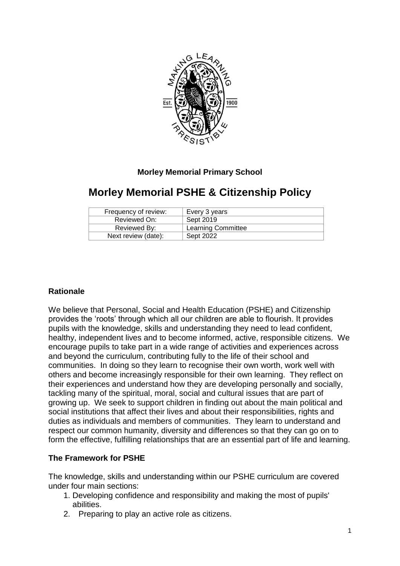

## **Morley Memorial Primary School**

# **Morley Memorial PSHE & Citizenship Policy**

| Frequency of review: | Every 3 years             |
|----------------------|---------------------------|
| Reviewed On:         | Sept 2019                 |
| Reviewed By:         | <b>Learning Committee</b> |
| Next review (date):  | Sept 2022                 |

## **Rationale**

We believe that Personal, Social and Health Education (PSHE) and Citizenship provides the 'roots' through which all our children are able to flourish. It provides pupils with the knowledge, skills and understanding they need to lead confident, healthy, independent lives and to become informed, active, responsible citizens. We encourage pupils to take part in a wide range of activities and experiences across and beyond the curriculum, contributing fully to the life of their school and communities. In doing so they learn to recognise their own worth, work well with others and become increasingly responsible for their own learning. They reflect on their experiences and understand how they are developing personally and socially, tackling many of the spiritual, moral, social and cultural issues that are part of growing up. We seek to support children in finding out about the main political and social institutions that affect their lives and about their responsibilities, rights and duties as individuals and members of communities. They learn to understand and respect our common humanity, diversity and differences so that they can go on to form the effective, fulfilling relationships that are an essential part of life and learning.

## **The Framework for PSHE**

The knowledge, skills and understanding within our PSHE curriculum are covered under four main sections:

- 1. Developing confidence and responsibility and making the most of pupils' abilities.
- 2. Preparing to play an active role as citizens.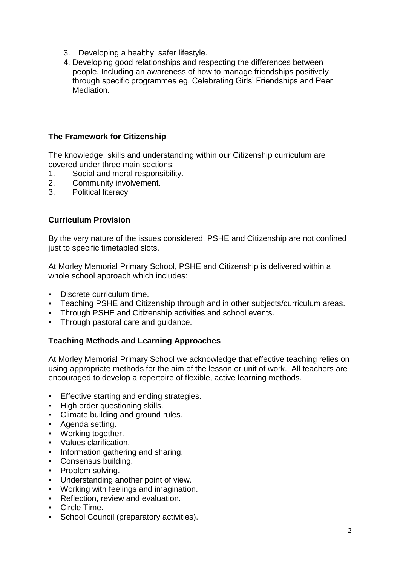- 3. Developing a healthy, safer lifestyle.
- 4. Developing good relationships and respecting the differences between people. Including an awareness of how to manage friendships positively through specific programmes eg. Celebrating Girls' Friendships and Peer Mediation.

### **The Framework for Citizenship**

The knowledge, skills and understanding within our Citizenship curriculum are covered under three main sections:

- 1. Social and moral responsibility.
- 2. Community involvement.
- 3. Political literacy

#### **Curriculum Provision**

By the very nature of the issues considered, PSHE and Citizenship are not confined just to specific timetabled slots.

At Morley Memorial Primary School, PSHE and Citizenship is delivered within a whole school approach which includes:

- Discrete curriculum time.
- Teaching PSHE and Citizenship through and in other subjects/curriculum areas.
- **Through PSHE and Citizenship activities and school events.**
- Through pastoral care and guidance.

#### **Teaching Methods and Learning Approaches**

At Morley Memorial Primary School we acknowledge that effective teaching relies on using appropriate methods for the aim of the lesson or unit of work. All teachers are encouraged to develop a repertoire of flexible, active learning methods.

- Effective starting and ending strategies.
- High order questioning skills.
- Climate building and ground rules.
- Agenda setting.
- Working together.
- Values clarification.
- **•** Information gathering and sharing.
- Consensus building.
- Problem solving.
- Understanding another point of view.
- Working with feelings and imagination.
- **Reflection, review and evaluation.**
- Circle Time.
- **School Council (preparatory activities).**